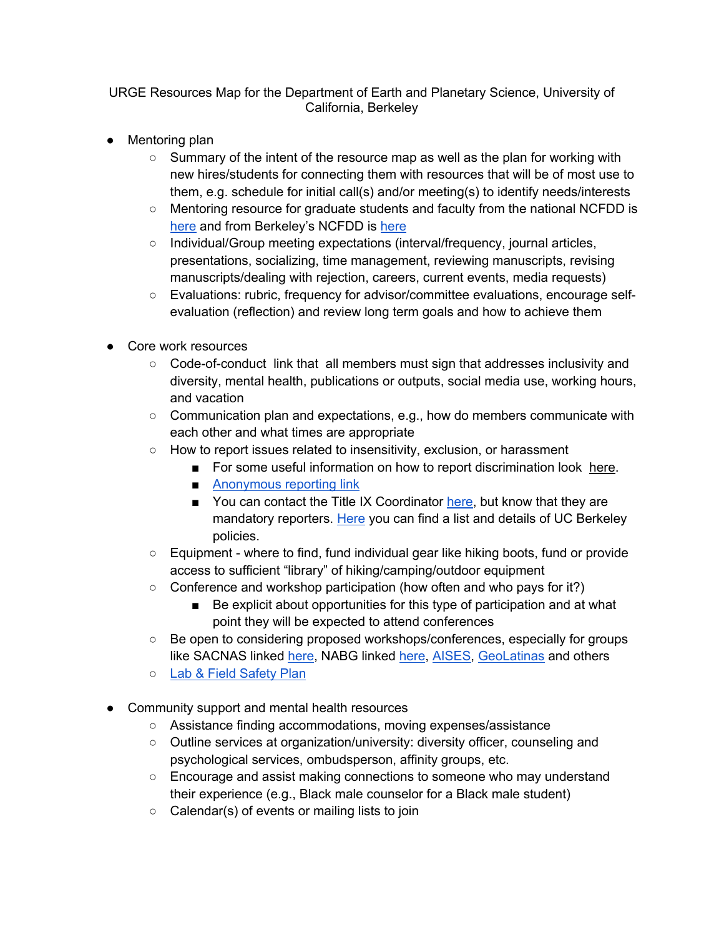## URGE Resources Map for the Department of Earth and Planetary Science, University of California, Berkeley

- Mentoring plan
	- $\circ$  Summary of the intent of the resource map as well as the plan for working with new hires/students for connecting them with resources that will be of most use to them, e.g. schedule for initial call(s) and/or meeting(s) to identify needs/interests
	- Mentoring resource for graduate students and faculty from the national NCFDD is here and from Berkeley's NCFDD is here
	- Individual/Group meeting expectations (interval/frequency, journal articles, presentations, socializing, time management, reviewing manuscripts, revising manuscripts/dealing with rejection, careers, current events, media requests)
	- Evaluations: rubric, frequency for advisor/committee evaluations, encourage selfevaluation (reflection) and review long term goals and how to achieve them
- Core work resources
	- Code-of-conduct link that all members must sign that addresses inclusivity and diversity, mental health, publications or outputs, social media use, working hours, and vacation
	- $\circ$  Communication plan and expectations, e.g., how do members communicate with each other and what times are appropriate
	- How to report issues related to insensitivity, exclusion, or harassment
		- For some useful information on how to report discrimination look here.
		- Anonymous reporting link
		- You can contact the Title IX Coordinator here, but know that they are mandatory reporters. Here you can find a list and details of UC Berkeley policies.
	- Equipment where to find, fund individual gear like hiking boots, fund or provide access to sufficient "library" of hiking/camping/outdoor equipment
	- Conference and workshop participation (how often and who pays for it?)
		- Be explicit about opportunities for this type of participation and at what point they will be expected to attend conferences
	- Be open to considering proposed workshops/conferences, especially for groups like SACNAS linked here, NABG linked here, AISES, GeoLatinas and others
	- o Lab & Field Safety Plan
- Community support and mental health resources
	- Assistance finding accommodations, moving expenses/assistance
	- Outline services at organization/university: diversity officer, counseling and psychological services, ombudsperson, affinity groups, etc.
	- Encourage and assist making connections to someone who may understand their experience (e.g., Black male counselor for a Black male student)
	- $\circ$  Calendar(s) of events or mailing lists to join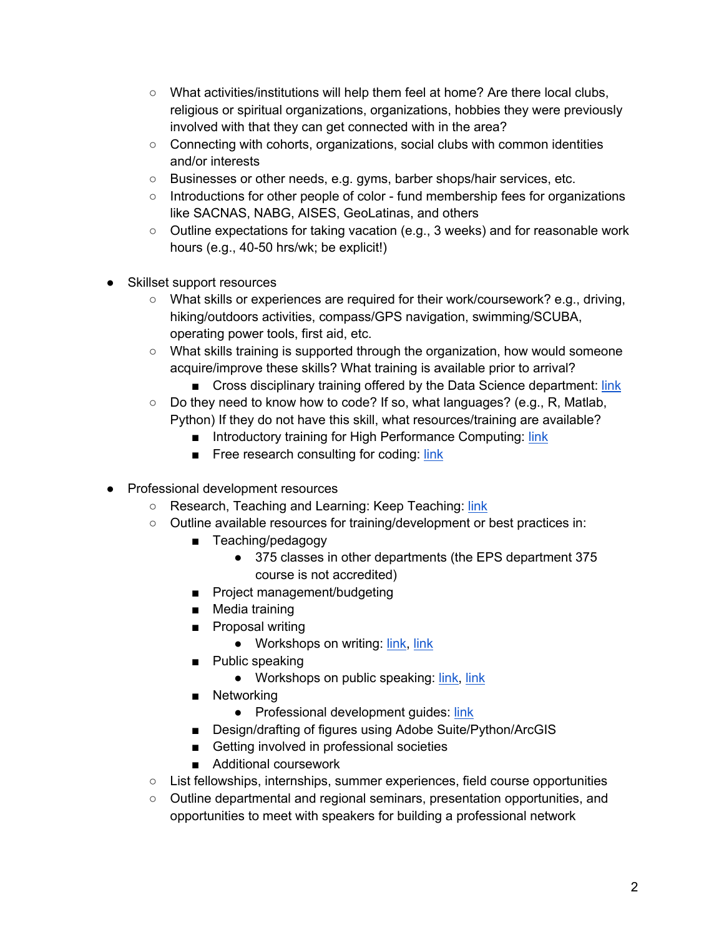- $\circ$  What activities/institutions will help them feel at home? Are there local clubs, religious or spiritual organizations, organizations, hobbies they were previously involved with that they can get connected with in the area?
- $\circ$  Connecting with cohorts, organizations, social clubs with common identities and/or interests
- Businesses or other needs, e.g. gyms, barber shops/hair services, etc.
- Introductions for other people of color fund membership fees for organizations like SACNAS, NABG, AISES, GeoLatinas, and others
- Outline expectations for taking vacation (e.g., 3 weeks) and for reasonable work hours (e.g., 40-50 hrs/wk; be explicit!)
- Skillset support resources
	- What skills or experiences are required for their work/coursework? e.g., driving, hiking/outdoors activities, compass/GPS navigation, swimming/SCUBA, operating power tools, first aid, etc.
	- What skills training is supported through the organization, how would someone acquire/improve these skills? What training is available prior to arrival?
		- Cross disciplinary training offered by the Data Science department: link
	- $\circ$  Do they need to know how to code? If so, what languages? (e.g., R, Matlab, Python) If they do not have this skill, what resources/training are available?
		- Introductory training for High Performance Computing: link
		- Free research consulting for coding: link
- Professional development resources
	- Research, Teaching and Learning: Keep Teaching: link
	- Outline available resources for training/development or best practices in:
		- Teaching/pedagogy
			- 375 classes in other departments (the EPS department 375 course is not accredited)
		- Project management/budgeting
		- Media training
		- Proposal writing
			- Workshops on writing: link, link
		- Public speaking
			- Workshops on public speaking: link, link
		- Networking
			- Professional development guides: link
		- Design/drafting of figures using Adobe Suite/Python/ArcGIS
		- Getting involved in professional societies
		- Additional coursework
	- List fellowships, internships, summer experiences, field course opportunities
	- Outline departmental and regional seminars, presentation opportunities, and opportunities to meet with speakers for building a professional network